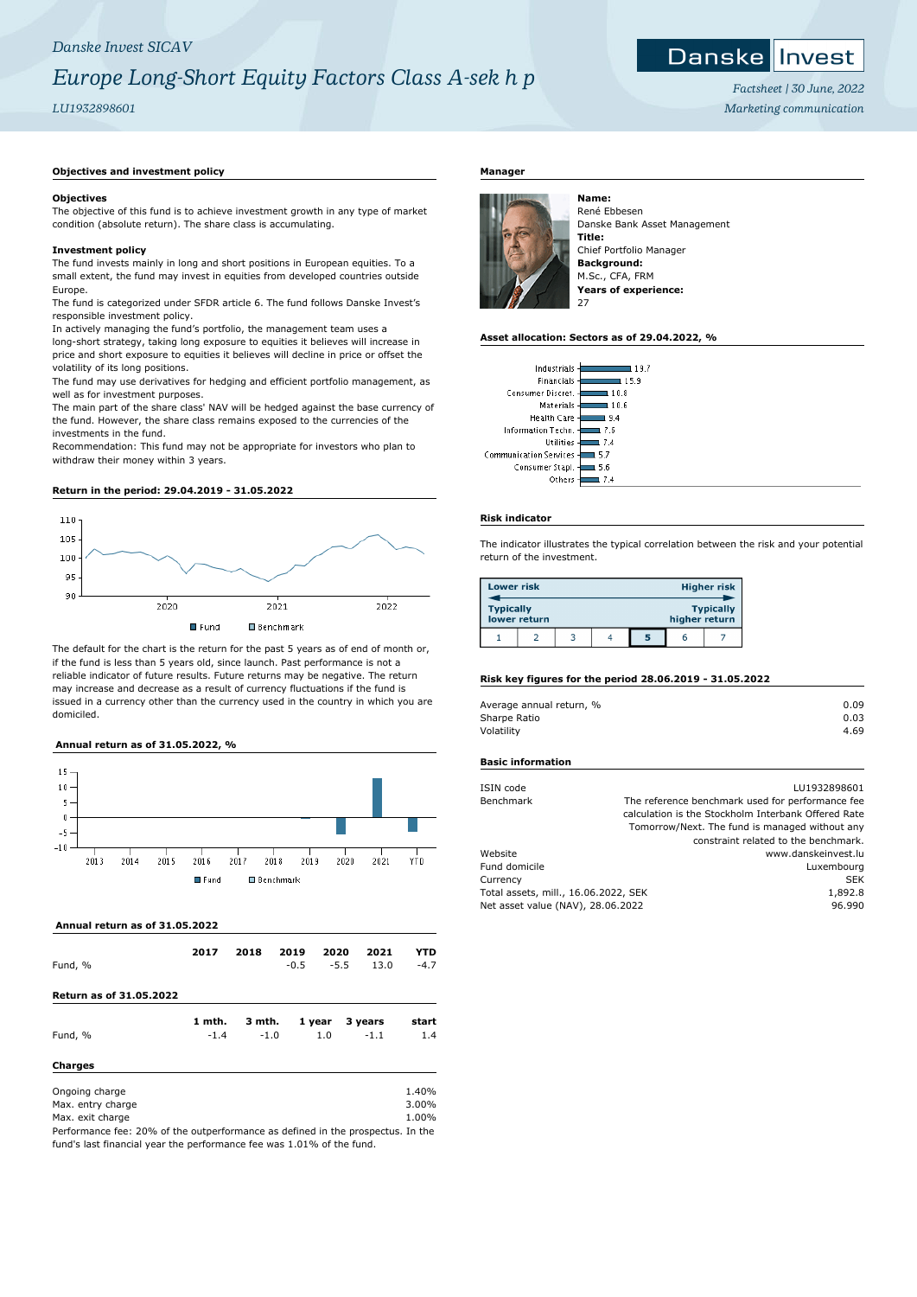# *Danske Invest SICAV*

# *Europe Long-Short Equity Factors Class A-sek h p*

# *LU1932898601*

# ${\sf Danske}$   $\boldsymbol{\parallel}$ Invest

*Factsheet | 30 June, 2022 Marketing communication*

# **Objectives and investment policy**

## **Objectives**

The objective of this fund is to achieve investment growth in any type of market condition (absolute return). The share class is accumulating.

# **Investment policy**

The fund invests mainly in long and short positions in European equities. To a small extent, the fund may invest in equities from developed countries outside Europe.

The fund is categorized under SFDR article 6. The fund follows Danske Invest's responsible investment policy.

In actively managing the fund's portfolio, the management team uses a long-short strategy, taking long exposure to equities it believes will increase in price and short exposure to equities it believes will decline in price or offset the volatility of its long positions.

The fund may use derivatives for hedging and efficient portfolio management, as well as for investment purposes.

The main part of the share class' NAV will be hedged against the base currency of the fund. However, the share class remains exposed to the currencies of the investments in the fund.

Recommendation: This fund may not be appropriate for investors who plan to withdraw their money within 3 years.

#### **Return in the period: 29.04.2019 - 31.05.2022**



The default for the chart is the return for the past 5 years as of end of month or, if the fund is less than 5 years old, since launch. Past performance is not a reliable indicator of future results. Future returns may be negative. The return may increase and decrease as a result of currency fluctuations if the fund is issued in a currency other than the currency used in the country in which you are domiciled.

# **Annual return as of 31.05.2022, %**



 **Annual return as of 31.05.2022**

| Fund, %                                                                         | 2017   | 2018   | 2019<br>$-0.5$ | 2020   | 2021<br>$-5.5$<br>13.0 | YTD<br>$-4.7$ |
|---------------------------------------------------------------------------------|--------|--------|----------------|--------|------------------------|---------------|
| <b>Return as of 31.05.2022</b>                                                  |        |        |                |        |                        |               |
|                                                                                 | 1 mth. | 3 mth. |                | 1 year | 3 years                | start         |
| Fund, %                                                                         | $-1.4$ | $-1.0$ |                | 1.0    | $-1.1$                 | 1.4           |
| <b>Charges</b>                                                                  |        |        |                |        |                        |               |
| Ongoing charge                                                                  |        |        |                |        |                        | 1.40%         |
| Max. entry charge                                                               |        |        |                |        |                        | 3.00%         |
| Max. exit charge                                                                |        |        |                |        |                        | 1.00%         |
| Performance fee: 20% of the outperformance as defined in the prospectus. In the |        |        |                |        |                        |               |

Performance fee: 20% of the outperformance as defined in the prospectus. In the fund's last financial year the performance fee was 1.01% of the fund.

# **Manager**



René Ebbesen Danske Bank Asset Management **Title:** Chief Portfolio Manager **Background:** M.Sc., CFA, FRM **Years of experience:**

## **Asset allocation: Sectors as of 29.04.2022, %**

| Industrials                          |
|--------------------------------------|
| Financials<br>15.9                   |
| Consumer Discret.<br>10.8            |
| Materials<br>10.6                    |
| <b>Health Care</b><br>9.4            |
| Information Techn.<br>1 7 K          |
| Utilities<br>l 7.4                   |
| <b>Communication Services</b><br>5.7 |
| Consumer Stapl.<br>5.6               |
| Others                               |

#### **Risk indicator**

The indicator illustrates the typical correlation between the risk and your potential return of the investment.

| <b>Lower risk</b> |              |  |   |               | <b>Higher risk</b> |
|-------------------|--------------|--|---|---------------|--------------------|
| <b>Typically</b>  | lower return |  |   | higher return | <b>Typically</b>   |
|                   |              |  | 5 | h             |                    |

#### **Risk key figures for the period 28.06.2019 - 31.05.2022**

| 0.09 |
|------|
| 0.03 |
| 4.69 |
|      |

#### **Basic information**

| ISIN code                            | LU1932898601                                        |
|--------------------------------------|-----------------------------------------------------|
| Benchmark                            | The reference benchmark used for performance fee    |
|                                      | calculation is the Stockholm Interbank Offered Rate |
|                                      | Tomorrow/Next. The fund is managed without any      |
|                                      | constraint related to the benchmark.                |
| Website                              | www.danskeinvest.lu                                 |
| Fund domicile                        | Luxembourg                                          |
| Currency                             | <b>SEK</b>                                          |
| Total assets, mill., 16.06.2022, SEK | 1,892.8                                             |
| Net asset value (NAV), 28.06.2022    | 96.990                                              |
|                                      |                                                     |